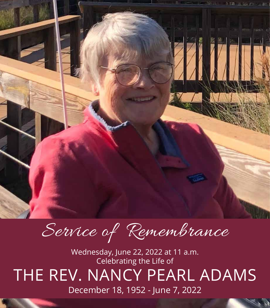

Service of Remembrance

Wednesday, June 22, 2022 at 11 a.m. Celebrating the Life of THE REV. NANCY PEARL ADAMS December 18, 1952 - June 7, 2022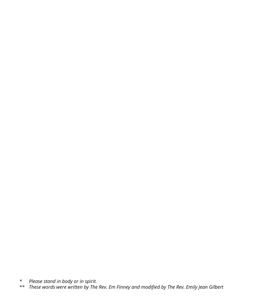*\* Please stand in body or in spirit.*

*\*\* These words were written by The Rev. Em Finney and modified by The Rev. Emily Jean Gilbert*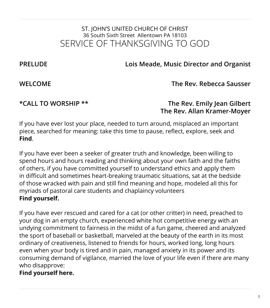# ST. JOHN'S UNITED CHURCH OF CHRIST 36 South Sixth Street Allentown PA 18103 SERVICE OF THANKSGIVING TO GOD

**PRELUDE Lois Meade, Music Director and Organist**

**WELCOME The Rev. Rebecca Sausser**

**\*CALL TO WORSHIP \*\* The Rev. Emily Jean Gilbert The Rev. Allan Kramer-Moyer**

If you have ever lost your place, needed to turn around, misplaced an important piece, searched for meaning: take this time to pause, reflect, explore, seek and **Find**.

If you have ever been a seeker of greater truth and knowledge, been willing to spend hours and hours reading and thinking about your own faith and the faiths of others, if you have committed yourself to understand ethics and apply them in difficult and sometimes heart-breaking traumatic situations, sat at the bedside of those wracked with pain and still find meaning and hope, modeled all this for myriads of pastoral care students and chaplaincy volunteers **Find yourself.**

If you have ever rescued and cared for a cat (or other critter) in need, preached to your dog in an empty church, experienced white hot competitive energy with an undying commitment to fairness in the midst of a fun game, cheered and analyzed the sport of baseball or basketball, marveled at the beauty of the earth in its most ordinary of creativeness, listened to friends for hours, worked long, long hours even when your body is tired and in pain, managed anxiety in its power and its consuming demand of vigilance, married the love of your life even if there are many who disapprove:

#### **Find yourself here.**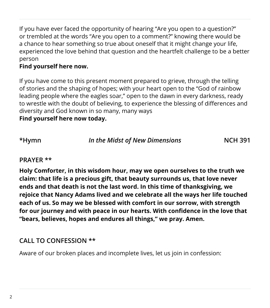If you have ever faced the opportunity of hearing "Are you open to a question?" or trembled at the words "Are you open to a comment?" knowing there would be a chance to hear something so true about oneself that it might change your life, experienced the love behind that question and the heartfelt challenge to be a better person

### **Find yourself here now.**

If you have come to this present moment prepared to grieve, through the telling of stories and the shaping of hopes; with your heart open to the "God of rainbow leading people where the eagles soar," open to the dawn in every darkness, ready to wrestle with the doubt of believing, to experience the blessing of differences and diversity and God known in so many, many ways

**Find yourself here now today.**

**\*Hymn** *In the Midst of New Dimensions* **NCH 391**

#### **PRAYER \*\***

**Holy Comforter, in this wisdom hour, may we open ourselves to the truth we claim: that life is a precious gift, that beauty surrounds us, that love never ends and that death is not the last word. In this time of thanksgiving, we rejoice that Nancy Adams lived and we celebrate all the ways her life touched each of us. So may we be blessed with comfort in our sorrow, with strength for our journey and with peace in our hearts. With confidence in the love that "bears, believes, hopes and endures all things," we pray. Amen.**

# **CALL TO CONFESSION \*\***

Aware of our broken places and incomplete lives, let us join in confession: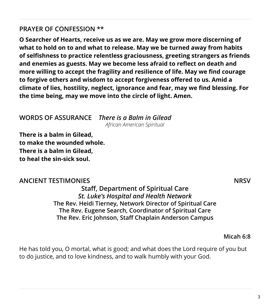# **PRAYER OF CONFESSION \*\***

**O Searcher of Hearts, receive us as we are. May we grow more discerning of what to hold on to and what to release. May we be turned away from habits of selfishness to practice relentless graciousness, greeting strangers as friends and enemies as guests. May we become less afraid to reflect on death and more willing to accept the fragility and resilience of life. May we find courage to forgive others and wisdom to accept forgiveness offered to us. Amid a climate of lies, hostility, neglect, ignorance and fear, may we find blessing. For the time being, may we move into the circle of light. Amen.**

#### **WORDS OF ASSURANCE** *There is a Balm in Gilead*

*African American Spiritual*

**There is a balm in Gilead, to make the wounded whole. There is a balm in Gilead, to heal the sin-sick soul.**

### **ANCIENT TESTIMONIES** NRSV

**Staff, Department of Spiritual Care** *St. Luke's Hospital and Health Network* **The Rev. Heidi Tierney, Network Director of Spiritual Care The Rev. Eugene Search, Coordinator of Spiritual Care The Rev. Eric Johnson, Staff Chaplain Anderson Campus**

**Micah 6:8** 

He has told you, O mortal, what is good; and what does the Lord require of you but to do justice, and to love kindness, and to walk humbly with your God.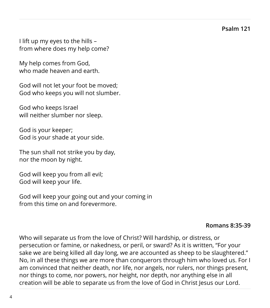**Psalm 121**

I lift up my eyes to the hills – from where does my help come?

My help comes from God, who made heaven and earth.

God will not let your foot be moved; God who keeps you will not slumber.

God who keeps Israel will neither slumber nor sleep.

God is your keeper; God is your shade at your side.

The sun shall not strike you by day, nor the moon by night.

God will keep you from all evil; God will keep your life.

God will keep your going out and your coming in from this time on and forevermore.

#### **Romans 8:35-39**

Who will separate us from the love of Christ? Will hardship, or distress, or persecution or famine, or nakedness, or peril, or sward? As it is written, "For your sake we are being killed all day long, we are accounted as sheep to be slaughtered." No, in all these things we are more than conquerors through him who loved us. For I am convinced that neither death, nor life, nor angels, nor rulers, nor things present, nor things to come, nor powers, nor height, nor depth, nor anything else in all creation will be able to separate us from the love of God in Christ Jesus our Lord.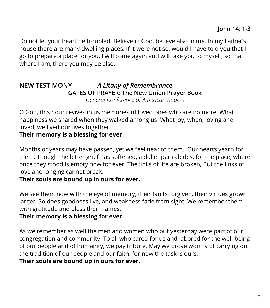Do not let your heart be troubled. Believe in God, believe also in me. In my Father's house there are many dwelling places. If it were not so, would I have told you that I go to prepare a place for you, I will come again and will take you to myself, so that where I am, there you may be also.

#### **NEW TESTIMONY** *A Litany of Remembrance* **GATES OF PRAYER: The New Union Prayer Book** *General Conference of American Rabbis*

O God, this hour revives in us memories of loved ones who are no more. What happiness we shared when they walked among us! What joy, when, loving and loved, we lived our lives together!

# **Their memory is a blessing for ever.**

Months or years may have passed, yet we feel near to them. Our hearts yearn for them. Though the bitter grief has softened, a duller pain abides, for the place, where once they stood is empty now for ever. The links of life are broken, But the links of love and longing cannot break.

### **Their souls are bound up in ours for ever.**

We see them now with the eye of memory, their faults forgiven, their virtues grown larger. So does goodness live, and weakness fade from sight. We remember them with gratitude and bless their names.

# **Their memory is a blessing for ever.**

As we remember as well the men and women who but yesterday were part of our congregation and community. To all who cared for us and labored for the well-being of our people and of humanity, we pay tribute. May we prove worthy of carrying on the tradition of our people and our faith, for now the task is ours.

### **Their souls are bound up in ours for ever.**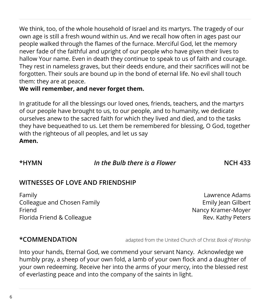We think, too, of the whole household of Israel and its martyrs. The tragedy of our own age is still a fresh wound within us. And we recall how often in ages past our people walked through the flames of the furnace. Merciful God, let the memory never fade of the faithful and upright of our people who have given their lives to hallow Your name. Even in death they continue to speak to us of faith and courage. They rest in nameless graves, but their deeds endure, and their sacrifices will not be forgotten. Their souls are bound up in the bond of eternal life. No evil shall touch them: they are at peace.

### **We will remember, and never forget them.**

In gratitude for all the blessings our loved ones, friends, teachers, and the martyrs of our people have brought to us, to our people, and to humanity, we dedicate ourselves anew to the sacred faith for which they lived and died, and to the tasks they have bequeathed to us. Let them be remembered for blessing, O God, together with the righteous of all peoples, and let us say **Amen.**

#### **\*HYMN** *In the Bulb there is a Flower* **NCH 433**

# **WITNESSES OF LOVE AND FRIENDSHIP**

Family Lawrence Adams Colleague and Chosen Family **Emily Accord Emily Jean Gilbert** Friend **Nancy Kramer-Moyer** Florida Friend & Colleague **Rev. Kathy Peters** 

**\*COMMENDATION** adapted from the United Church of Christ *Book of Worship*

Into your hands, Eternal God, we commend your servant Nancy. Acknowledge we humbly pray, a sheep of your own fold, a lamb of your own flock and a daughter of your own redeeming. Receive her into the arms of your mercy, into the blessed rest of everlasting peace and into the company of the saints in light.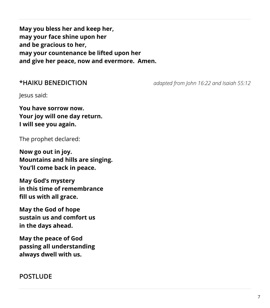**May you bless her and keep her, may your face shine upon her and be gracious to her, may your countenance be lifted upon her and give her peace, now and evermore. Amen.**

**\*HAIKU BENEDICTION** *adapted from John 16:22 and Isaiah 55:12*

Jesus said:

**You have sorrow now. Your joy will one day return. I will see you again.**

The prophet declared:

**Now go out in joy. Mountains and hills are singing. You'll come back in peace.**

**May God's mystery in this time of remembrance fill us with all grace.**

**May the God of hope sustain us and comfort us in the days ahead.**

**May the peace of God passing all understanding always dwell with us.**

### **POSTLUDE**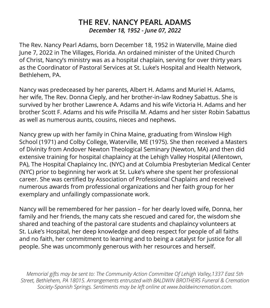# **THE REV. NANCY PEARL ADAMS** *December 18, 1952 - June 07, 2022*

The Rev. Nancy Pearl Adams, born December 18, 1952 in Waterville, Maine died June 7, 2022 in The Villages, Florida. An ordained minister of the United Church of Christ, Nancy's ministry was as a hospital chaplain, serving for over thirty years as the Coordinator of Pastoral Services at St. Luke's Hospital and Health Network, Bethlehem, PA.

Nancy was predeceased by her parents, Albert H. Adams and Muriel H. Adams, her wife, The Rev. Donna Cieply, and her brother-in-law Rodney Sabattus. She is survived by her brother Lawrence A. Adams and his wife Victoria H. Adams and her brother Scott F. Adams and his wife Priscilla M. Adams and her sister Robin Sabattus as well as numerous aunts, cousins, nieces and nephews.

Nancy grew up with her family in China Maine, graduating from Winslow High School (1971) and Colby College, Waterville, ME (1975). She then received a Masters of Divinity from Andover Newton Theological Seminary (Newton, MA) and then did extensive training for hospital chaplaincy at the Lehigh Valley Hospital (Allentown, PA), The Hospital Chaplaincy Inc. (NYC) and at Columbia Presbyterian Medical Center (NYC) prior to beginning her work at St. Luke's where she spent her professional career. She was certified by Association of Professional Chaplains and received numerous awards from professional organizations and her faith group for her exemplary and unfailingly compassionate work.

Nancy will be remembered for her passion – for her dearly loved wife, Donna, her family and her friends, the many cats she rescued and cared for, the wisdom she shared and teaching of the pastoral care students and chaplaincy volunteers at St. Luke's Hospital, her deep knowledge and deep respect for people of all faiths and no faith, her commitment to learning and to being a catalyst for justice for all people. She was uncommonly generous with her resources and herself.

*Memorial gifts may be sent to: The Community Action Committee Of Lehigh Valley,1337 East 5th Street, Bethlehem, PA 18015. Arrangements entrusted with BALDWIN BROTHERS Funeral & Cremation Society-Spanish Springs. Sentiments may be left online at www.baldwincremation.com.*